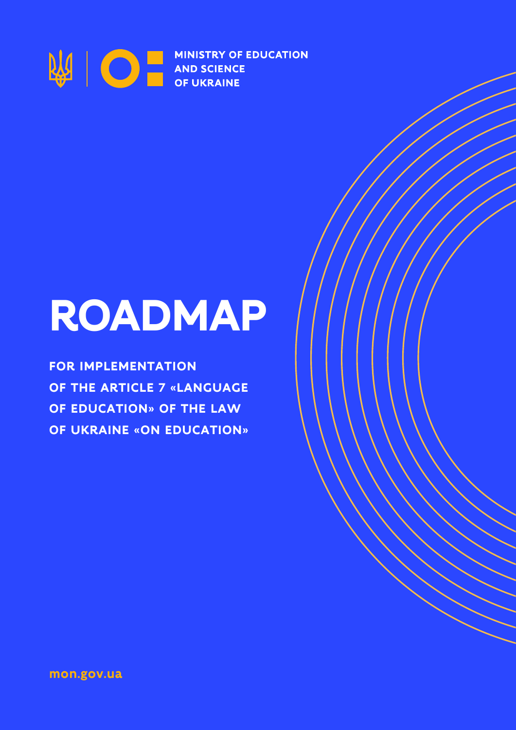

# **ROADMAP**

**FOR IMPLEMENTATION OF THE ARTICLE 7 «LANGUAGE OF EDUCATION» OF THE LAW OF UKRAINE «ON EDUCATION»**

**mon.gov.ua**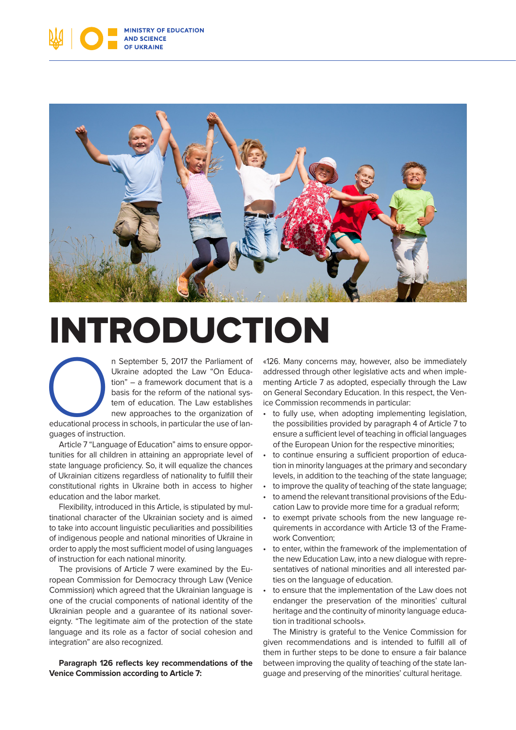



## INTRODUCTION

n September 5, 2017 the Parliament of<br>
Ukraine adopted the Law "On Educa-<br>
tion" – a framework document that is a<br>
basis for the reform of the national sys-<br>
tem of education. The Law establishes<br>
new approaches to the org Ukraine adopted the Law "On Education" – a framework document that is a basis for the reform of the national system of education. The Law establishes new approaches to the organization of

guages of instruction.

Article 7 "Language of Education" aims to ensure opportunities for all children in attaining an appropriate level of state language proficiency. So, it will equalize the chances of Ukrainian citizens regardless of nationality to fulfill their constitutional rights in Ukraine both in access to higher education and the labor market.

Flexibility, introduced in this Article, is stipulated by multinational character of the Ukrainian society and is aimed to take into account linguistic peculiarities and possibilities of indigenous people and national minorities of Ukraine in order to apply the most sufficient model of using languages of instruction for each national minority.

The provisions of Article 7 were examined by the European Commission for Democracy through Law (Venice Commission) which agreed that the Ukrainian language is one of the crucial components of national identity of the Ukrainian people and a guarantee of its national sovereignty. "The legitimate aim of the protection of the state language and its role as a factor of social cohesion and integration" are also recognized.

**Paragraph 126 reflects key recommendations of the Venice Commission according to Article 7:**

«126. Many concerns may, however, also be immediately addressed through other legislative acts and when implementing Article 7 as adopted, especially through the Law on General Secondary Education. In this respect, the Venice Commission recommends in particular:

- to fully use, when adopting implementing legislation, the possibilities provided by paragraph 4 of Article 7 to ensure a sufficient level of teaching in official languages of the European Union for the respective minorities;
- to continue ensuring a sufficient proportion of education in minority languages at the primary and secondary levels, in addition to the teaching of the state language;
- to improve the quality of teaching of the state language;
- to amend the relevant transitional provisions of the Education Law to provide more time for a gradual reform;
- to exempt private schools from the new language requirements in accordance with Article 13 of the Framework Convention;
- to enter, within the framework of the implementation of the new Education Law, into a new dialogue with representatives of national minorities and all interested parties on the language of education.
- to ensure that the implementation of the Law does not endanger the preservation of the minorities' cultural heritage and the continuity of minority language education in traditional schools».

The Ministry is grateful to the Venice Commission for given recommendations and is intended to fulfill all of them in further steps to be done to ensure a fair balance between improving the quality of teaching of the state language and preserving of the minorities' cultural heritage.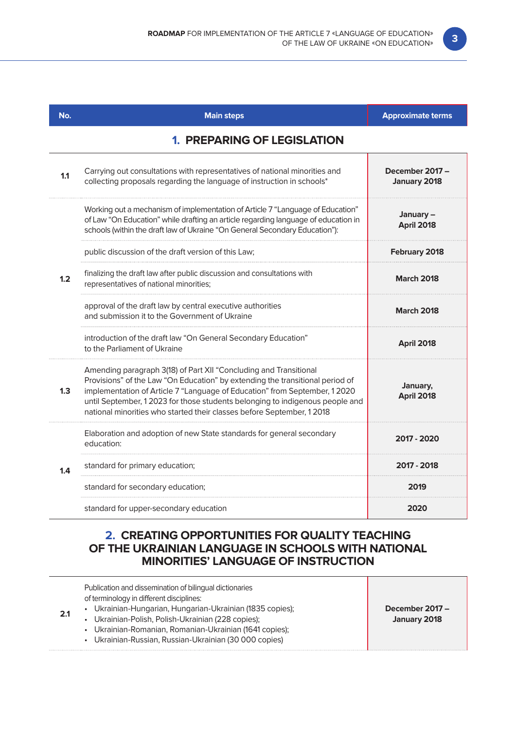| No. | <b>Main steps</b>                                                                                                                                                                                                                                                                                                                                                                         | <b>Approximate terms</b>        |
|-----|-------------------------------------------------------------------------------------------------------------------------------------------------------------------------------------------------------------------------------------------------------------------------------------------------------------------------------------------------------------------------------------------|---------------------------------|
|     | <b>1. PREPARING OF LEGISLATION</b>                                                                                                                                                                                                                                                                                                                                                        |                                 |
| 1.1 | Carrying out consultations with representatives of national minorities and<br>collecting proposals regarding the language of instruction in schools*                                                                                                                                                                                                                                      | December 2017 -<br>January 2018 |
| 1.2 | Working out a mechanism of implementation of Article 7 "Language of Education"<br>of Law "On Education" while drafting an article regarding language of education in<br>schools (within the draft law of Ukraine "On General Secondary Education"):                                                                                                                                       | January-<br>April 2018          |
|     | public discussion of the draft version of this Law;                                                                                                                                                                                                                                                                                                                                       | February 2018                   |
|     | finalizing the draft law after public discussion and consultations with<br>representatives of national minorities;                                                                                                                                                                                                                                                                        | <b>March 2018</b>               |
|     | approval of the draft law by central executive authorities<br>and submission it to the Government of Ukraine                                                                                                                                                                                                                                                                              | <b>March 2018</b>               |
|     | introduction of the draft law "On General Secondary Education"<br>to the Parliament of Ukraine                                                                                                                                                                                                                                                                                            | <b>April 2018</b>               |
| 1.3 | Amending paragraph 3(18) of Part XII "Concluding and Transitional<br>Provisions" of the Law "On Education" by extending the transitional period of<br>implementation of Article 7 "Language of Education" from September, 12020<br>until September, 1 2023 for those students belonging to indigenous people and<br>national minorities who started their classes before September, 12018 | January,<br><b>April 2018</b>   |
| 1.4 | Elaboration and adoption of new State standards for general secondary<br>education:                                                                                                                                                                                                                                                                                                       | 2017 - 2020                     |
|     | standard for primary education;                                                                                                                                                                                                                                                                                                                                                           | 2017 - 2018                     |
|     | standard for secondary education;                                                                                                                                                                                                                                                                                                                                                         | 2019                            |
|     | standard for upper-secondary education                                                                                                                                                                                                                                                                                                                                                    | 2020                            |

### **2. CREATING OPPORTUNITIES FOR QUALITY TEACHING OF THE UKRAINIAN LANGUAGE IN SCHOOLS WITH NATIONAL MINORITIES' LANGUAGE OF INSTRUCTION**

| Publication and dissemination of bilingual dictionaries<br>of terminology in different disciplines:<br>• Ukrainian-Hungarian, Hungarian-Ukrainian (1835 copies);<br>• Ukrainian-Polish, Polish-Ukrainian (228 copies);<br>• Ukrainian-Romanian, Romanian-Ukrainian (1641 copies);<br>• Ukrainian-Russian, Russian-Ukrainian (30 000 copies) | December 2017 -<br>January 2018 |
|---------------------------------------------------------------------------------------------------------------------------------------------------------------------------------------------------------------------------------------------------------------------------------------------------------------------------------------------|---------------------------------|
|---------------------------------------------------------------------------------------------------------------------------------------------------------------------------------------------------------------------------------------------------------------------------------------------------------------------------------------------|---------------------------------|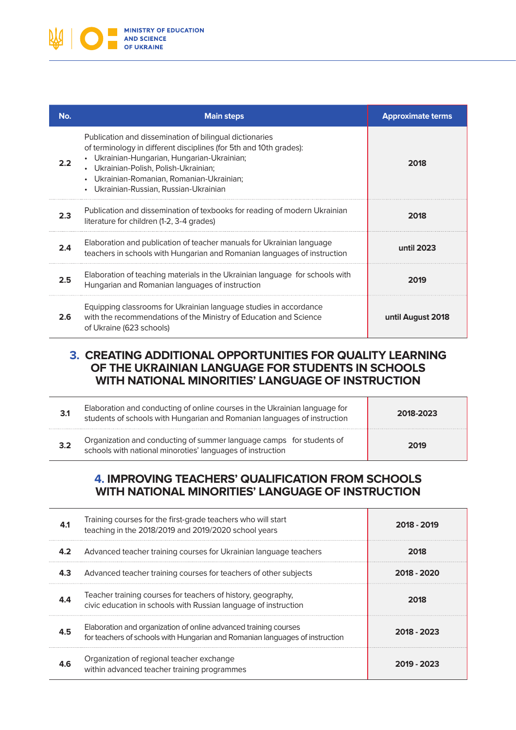

| No. | <b>Main steps</b>                                                                                                                                                                                                                                                                                                   | <b>Approximate terms</b> |
|-----|---------------------------------------------------------------------------------------------------------------------------------------------------------------------------------------------------------------------------------------------------------------------------------------------------------------------|--------------------------|
|     | Publication and dissemination of bilingual dictionaries<br>of terminology in different disciplines (for 5th and 10th grades):<br>Ukrainian-Hungarian, Hungarian-Ukrainian;<br>• Ukrainian-Polish, Polish-Ukrainian;<br>Ukrainian-Romanian, Romanian-Ukrainian;<br>Ukrainian-Russian, Russian-Ukrainian<br>$\bullet$ | 2018                     |
| 2.3 | Publication and dissemination of texbooks for reading of modern Ukrainian<br>literature for children (1-2, 3-4 grades)                                                                                                                                                                                              | 2018                     |
| 2.4 | Elaboration and publication of teacher manuals for Ukrainian language<br>teachers in schools with Hungarian and Romanian languages of instruction                                                                                                                                                                   | until 2023               |
| 2.5 | Elaboration of teaching materials in the Ukrainian language for schools with<br>Hungarian and Romanian languages of instruction                                                                                                                                                                                     | 2019                     |
| 2.6 | Equipping classrooms for Ukrainian language studies in accordance<br>with the recommendations of the Ministry of Education and Science<br>of Ukraine (623 schools)                                                                                                                                                  | until August 2018        |

#### **3. CREATING ADDITIONAL OPPORTUNITIES FOR QUALITY LEARNING OF THE UKRAINIAN LANGUAGE FOR STUDENTS IN SCHOOLS WITH NATIONAL MINORITIES' LANGUAGE OF INSTRUCTION**

| Elaboration and conducting of online courses in the Ukrainian language for<br>students of schools with Hungarian and Romanian languages of instruction | 2018-2023 |
|--------------------------------------------------------------------------------------------------------------------------------------------------------|-----------|
| Organization and conducting of summer language camps for students of schools with national minoroties' languages of instruction                        | 2019      |

### **4. IMPROVING TEACHERS' QUALIFICATION FROM SCHOOLS WITH NATIONAL MINORITIES' LANGUAGE OF INSTRUCTION**

| 4.1 | Training courses for the first-grade teachers who will start<br>teaching in the 2018/2019 and 2019/2020 school years                             | 2018 - 2019 |
|-----|--------------------------------------------------------------------------------------------------------------------------------------------------|-------------|
| 4.2 | Advanced teacher training courses for Ukrainian language teachers                                                                                | 2018        |
| 4.3 | Advanced teacher training courses for teachers of other subjects                                                                                 | 2018 - 2020 |
|     | Teacher training courses for teachers of history, geography,<br>civic education in schools with Russian language of instruction                  | 2018        |
| 4.5 | Elaboration and organization of online advanced training courses<br>for teachers of schools with Hungarian and Romanian languages of instruction | 2018 - 2023 |
| 4.6 | Organization of regional teacher exchange<br>within advanced teacher training programmes                                                         | 2019 - 2023 |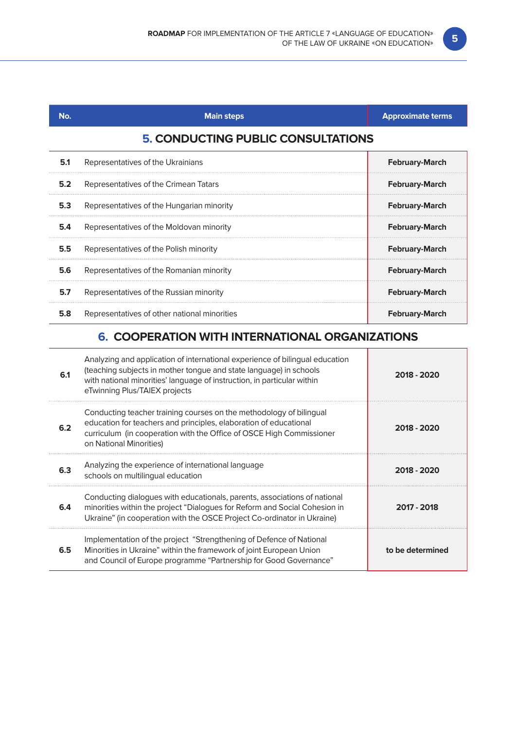| No. | <b>Main steps</b>                            | <b>Approximate terms</b> |
|-----|----------------------------------------------|--------------------------|
|     | <b>5. CONDUCTING PUBLIC CONSULTATIONS</b>    |                          |
| 5.1 | Representatives of the Ukrainians            | <b>February-March</b>    |
| 5.2 | Representatives of the Crimean Tatars        | <b>February-March</b>    |
| 5.3 | Representatives of the Hungarian minority    | <b>February-March</b>    |
| 5.4 | Representatives of the Moldovan minority     | <b>February-March</b>    |
| 5.5 | Representatives of the Polish minority       | <b>February-March</b>    |
| 5.6 | Representatives of the Romanian minority     | <b>February-March</b>    |
| 5.7 | Representatives of the Russian minority      | <b>February-March</b>    |
| 5.8 | Representatives of other national minorities | <b>February-March</b>    |

### **6. COOPERATION WITH INTERNATIONAL ORGANIZATIONS**

| 6.1 | Analyzing and application of international experience of bilingual education<br>(teaching subjects in mother tongue and state language) in schools<br>with national minorities' language of instruction, in particular within<br>eTwinning Plus/TAIEX projects | 2018 - 2020      |
|-----|----------------------------------------------------------------------------------------------------------------------------------------------------------------------------------------------------------------------------------------------------------------|------------------|
| 6.2 | Conducting teacher training courses on the methodology of bilingual<br>education for teachers and principles, elaboration of educational<br>curriculum (in cooperation with the Office of OSCE High Commissioner<br>on National Minorities)                    | 2018 - 2020      |
| 6.3 | Analyzing the experience of international language<br>schools on multilingual education                                                                                                                                                                        | 2018 - 2020      |
| 6.4 | Conducting dialogues with educationals, parents, associations of national<br>minorities within the project "Dialogues for Reform and Social Cohesion in<br>Ukraine" (in cooperation with the OSCE Project Co-ordinator in Ukraine)                             | 2017 - 2018      |
| 6.5 | Implementation of the project "Strengthening of Defence of National<br>Minorities in Ukraine" within the framework of joint European Union<br>and Council of Europe programme "Partnership for Good Governance"                                                | to be determined |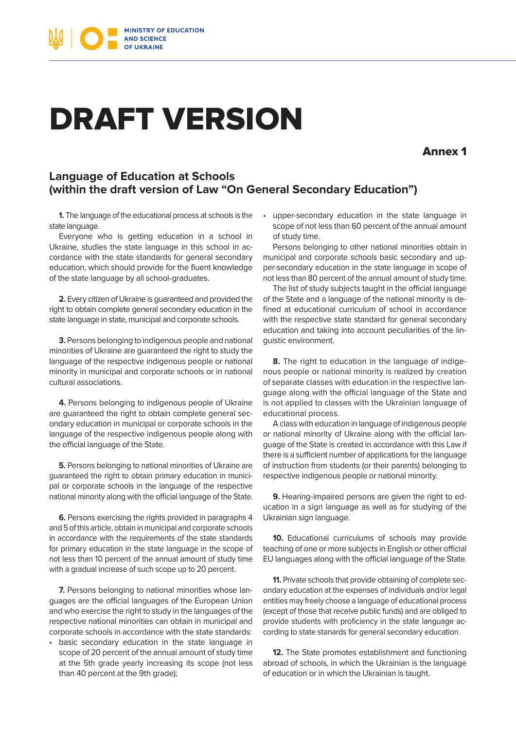

### DRAFT VERSION

Annex 1

#### **Language of Education at Schools (within the draft version of Law "On General Secondary Education")**

**1.** The language of the educational process at schools is the state language.

Everyone who is getting education in a school in Ukraine, studies the state language in this school in accordance with the state standards for general secondary education, which should provide for the fluent knowledge of the state language by all school-graduates.

**2.** Every citizen of Ukraine is guaranteed and provided the right to obtain complete general secondary education in the state language in state, municipal and corporate schools.

**3.** Persons belonging to indigenous people and national minorities of Ukraine are guaranteed the right to study the language of the respective indigenous people or national minority in municipal and corporate schools or in national cultural associations.

**4.** Persons belonging to indigenous people of Ukraine are guaranteed the right to obtain complete general secondary education in municipal or corporate schools in the language of the respective indigenous people along with the official language of the State.

**5.** Persons belonging to national minorities of Ukraine are guaranteed the right to obtain primary education in municipal or corporate schools in the language of the respective national minority along with the official language of the State.

**6.** Persons exercising the rights provided in paragraphs 4 and 5 of this article, obtain in municipal and corporate schools in accordance with the requirements of the state standards for primary education in the state language in the scope of not less than 10 percent of the annual amount of study time with a gradual increase of such scope up to 20 percent.

**7.** Persons belonging to national minorities whose languages are the official languages of the European Union and who exercise the right to study in the languages of the respective national minorities can obtain in municipal and corporate schools in accordance with the state standards:

• basic secondary education in the state language in scope of 20 percent of the annual amount of study time at the 5th grade yearly increasing its scope (not less than 40 percent at the 9th grade);

• upper-secondary education in the state language in scope of not less than 60 percent of the annual amount of study time.

Persons belonging to other national minorities obtain in municipal and corporate schools basic secondary and upper-secondary education in the state language in scope of not less than 80 percent of the annual amount of study time.

The list of study subjects taught in the official language of the State and a language of the national minority is defined at educational curriculum of school in accordance with the respective state standard for general secondary education and taking into account peculiarities of the linguistic environment.

**8.** The right to education in the language of indigenous people or national minority is realized by creation of separate classes with education in the respective language along with the official language of the State and is not applied to classes with the Ukrainian language of educational process.

A class with education in language of indigenous people or national minority of Ukraine along with the official language of the State is created in accordance with this Law if there is a sufficient number of applications for the language of instruction from students (or their parents) belonging to respective indigenous people or national minority.

**9.** Hearing-impaired persons are given the right to education in a sign language as well as for studying of the Ukrainian sign language.

**10.** Educational curriculums of schools may provide teaching of one or more subjects in English or other official EU languages along with the official language of the State.

**11.** Private schools that provide obtaining of complete secondary education at the expenses of individuals and/or legal entities may freely choose a language of educational process (except of those that receive public funds) and are obliged to provide students with proficiency in the state language according to state stanards for general secondary education.

**12.** The State promotes establishment and functioning abroad of schools, in which the Ukrainian is the language of education or in which the Ukrainian is taught.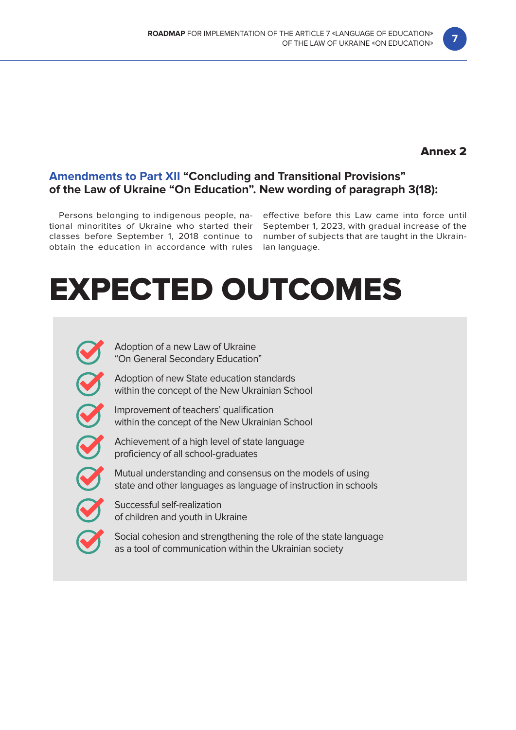### Annex 2

#### **Amendments to Part XII "Concluding and Transitional Provisions" of the Law of Ukraine "On Education". New wording of paragraph 3(18):**

obtain the education in accordance with rules ian language.

Persons belonging to indigenous people, na- effective before this Law came into force until tional minoritites of Ukraine who started their September 1, 2023, with gradual increase of the classes before September 1, 2018 continue to number of subjects that are taught in the Ukrain-

### EXPECTED OUTCOMES

Adoption of a new Law of Ukraine "On General Secondary Education"

Adoption of new State education standards within the concept of the New Ukrainian School

Improvement of teachers' qualification within the concept of the New Ukrainian School

Achievement of a high level of state language proficiency of all school-graduates

Mutual understanding and consensus on the models of using state and other languages as language of instruction in schools

Successful self-realization of children and youth in Ukraine

Social cohesion and strengthening the role of the state language as a tool of communication within the Ukrainian society